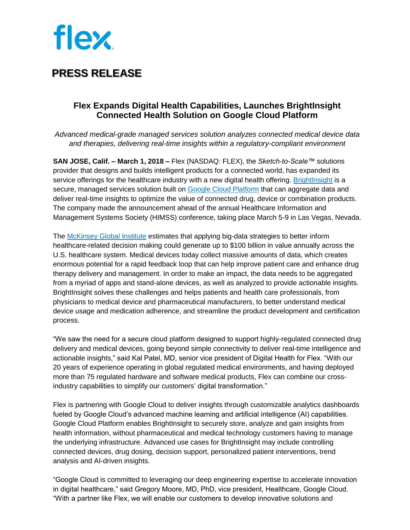

### **PRESS RELEASE**

### **Flex Expands Digital Health Capabilities, Launches BrightInsight Connected Health Solution on Google Cloud Platform**

*Advanced medical-grade managed services solution analyzes connected medical device data and therapies, delivering real-time insights within a regulatory-compliant environment*

**SAN JOSE, Calif. – March 1, 2018 –** Flex (NASDAQ: FLEX), the *Sketch-to-Scale™* solutions provider that designs and builds intelligent products for a connected world, has expanded its service offerings for the healthcare industry with a new digital health offering. [BrightInsight](https://flex.com/expertise/digital-health) is a secure, managed services solution built on [Google Cloud Platform](https://cloud.google.com/) that can aggregate data and deliver real-time insights to optimize the value of connected drug, device or combination products. The company made the announcement ahead of the annual Healthcare Information and Management Systems Society (HIMSS) conference, taking place March 5-9 in Las Vegas, Nevada.

The [McKinsey Global Institute](https://www.mckinsey.com/industries/pharmaceuticals-and-medical-products/our-insights/how-big-data-can-revolutionize-pharmaceutical-r-and-d) estimates that applying big-data strategies to better inform healthcare-related decision making could generate up to \$100 billion in value annually across the U.S. healthcare system. Medical devices today collect massive amounts of data, which creates enormous potential for a rapid feedback loop that can help improve patient care and enhance drug therapy delivery and management. In order to make an impact, the data needs to be aggregated from a myriad of apps and stand-alone devices, as well as analyzed to provide actionable insights. BrightInsight solves these challenges and helps patients and health care professionals, from physicians to medical device and pharmaceutical manufacturers, to better understand medical device usage and medication adherence, and streamline the product development and certification process.

"We saw the need for a secure cloud platform designed to support highly-regulated connected drug delivery and medical devices, going beyond simple connectivity to deliver real-time intelligence and actionable insights," said Kal Patel, MD, senior vice president of Digital Health for Flex. "With our 20 years of experience operating in global regulated medical environments, and having deployed more than 75 regulated hardware and software medical products, Flex can combine our crossindustry capabilities to simplify our customers' digital transformation."

Flex is partnering with Google Cloud to deliver insights through customizable analytics dashboards fueled by Google Cloud's advanced machine learning and artificial intelligence (AI) capabilities. Google Cloud Platform enables BrightInsight to securely store, analyze and gain insights from health information, without pharmaceutical and medical technology customers having to manage the underlying infrastructure. Advanced use cases for BrightInsight may include controlling connected devices, drug dosing, decision support, personalized patient interventions, trend analysis and AI-driven insights.

"Google Cloud is committed to leveraging our deep engineering expertise to accelerate innovation in digital healthcare," said Gregory Moore, MD, PhD, vice president, Healthcare, Google Cloud. "With a partner like Flex, we will enable our customers to develop innovative solutions and